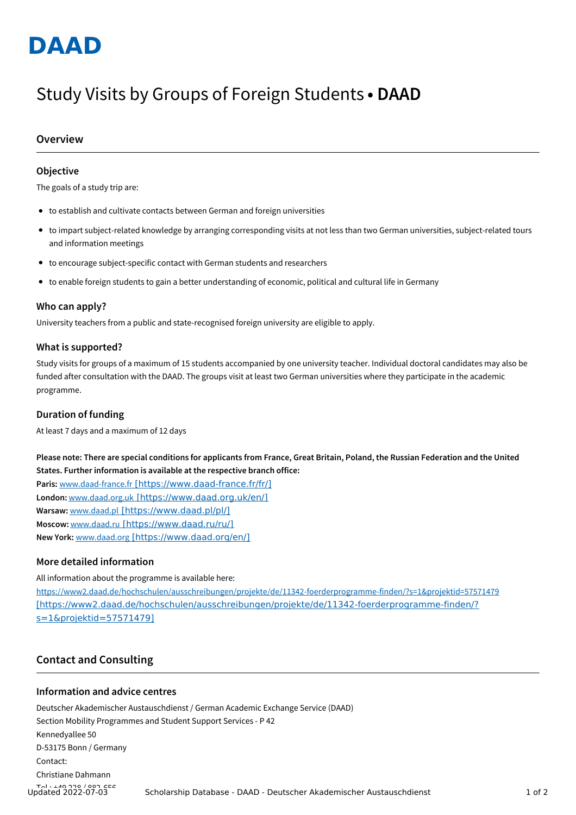

# Study Visits by Groups of Foreign Students **• DAAD**

## **Overview**

## **Objective**

The goals of a study trip are:

- to establish and cultivate contacts between German and foreign universities
- to impart subject-related knowledge by arranging corresponding visits at not less than two German universities, subject-related tours and information meetings
- to encourage subject-specific contact with German students and researchers
- to enable foreign students to gain a better understanding of economic, political and cultural life in Germany

#### **Who can apply?**

University teachers from a public and state-recognised foreign university are eligible to apply.

#### **What is supported?**

Study visits for groups of a maximum of 15 students accompanied by one university teacher. Individual doctoral candidates may also be funded after consultation with the DAAD. The groups visit at least two German universities where they participate in the academic programme.

### **Duration of funding**

At least 7 days and a maximum of 12 days

Please note: There are special conditions for applicants from France, Great Britain, Poland, the Russian Federation and the United **States. Further information is available at the respective branch office:**

**Paris:** www.daad-france.fr [\[https://www.daad-france.fr/fr/\]](https://www.daad-france.fr/fr/) **London:** www.daad.org.uk [\[https://www.daad.org.uk/en/\]](https://www.daad.org.uk/en/) **Warsaw:** www.daad.pl [\[https://www.daad.pl/pl/\]](https://www.daad.pl/pl/) **Moscow:** www.daad.ru [\[https://www.daad.ru/ru/\]](https://www.daad.ru/ru/) **New York:** www.daad.org [\[https://www.daad.org/en/\]](https://www.daad.org/en/)

## **More detailed information**

All information about the programme is available here: <https://www2.daad.de/hochschulen/ausschreibungen/projekte/de/11342-foerderprogramme-finden/?s=1&projektid=57571479> [https://www2.daad.de/hochschulen/ausschreibungen/projekte/de/11342-foerderprogramme-finden/? s=1&projektid=57571479]

# **Contact and Consulting**

### **Information and advice centres**

Deutscher Akademischer Austauschdienst / German Academic Exchange Service (DAAD) Section Mobility Programmes and Student Support Services - P 42 Kennedyallee 50 D-53175 Bonn / Germany Contact: Christiane Dahmann Tel.: +49 228 / 882-656 Updated 2022-07-03 Scholarship Database - DAAD - Deutscher Akademischer Austauschdienst <sup>1</sup> of <sup>2</sup>